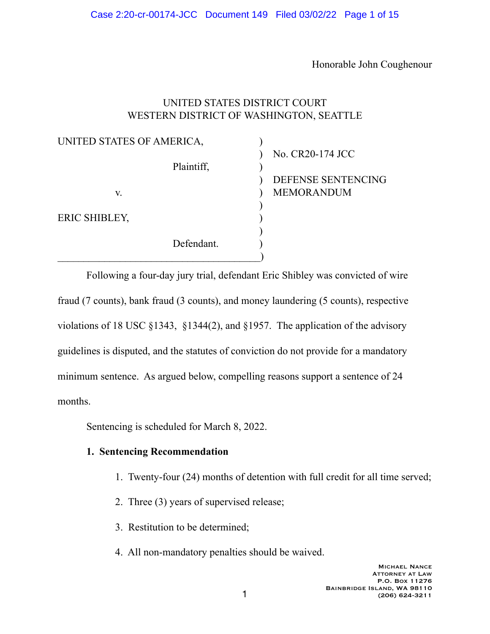Honorable John Coughenour

## UNITED STATES DISTRICT COURT WESTERN DISTRICT OF WASHINGTON, SEATTLE

| UNITED STATES OF AMERICA, |            |                    |
|---------------------------|------------|--------------------|
|                           |            | No. CR20-174 JCC   |
|                           | Plaintiff, |                    |
|                           |            | DEFENSE SENTENCING |
| V.                        |            | <b>MEMORANDUM</b>  |
|                           |            |                    |
| ERIC SHIBLEY,             |            |                    |
|                           |            |                    |
|                           | Defendant. |                    |
|                           |            |                    |

 Following a four-day jury trial, defendant Eric Shibley was convicted of wire fraud (7 counts), bank fraud (3 counts), and money laundering (5 counts), respective violations of 18 USC §1343, §1344(2), and §1957. The application of the advisory guidelines is disputed, and the statutes of conviction do not provide for a mandatory minimum sentence. As argued below, compelling reasons support a sentence of 24 months.

Sentencing is scheduled for March 8, 2022.

## **1. Sentencing Recommendation**

- 1. Twenty-four (24) months of detention with full credit for all time served;
- 2. Three (3) years of supervised release;
- 3. Restitution to be determined;
- 4. All non-mandatory penalties should be waived.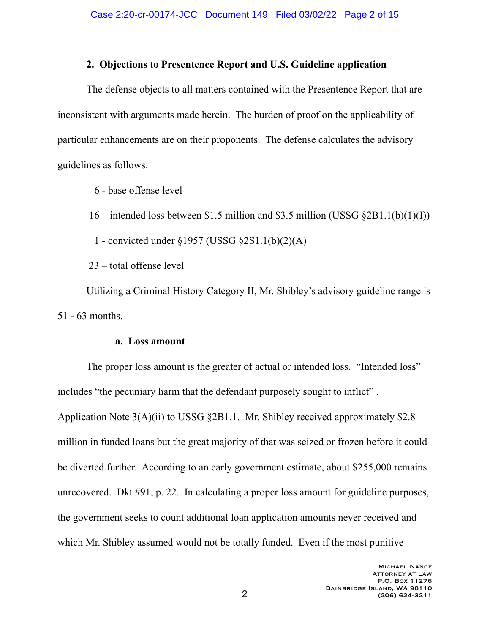## **2. Objections to Presentence Report and U.S. Guideline application**

 The defense objects to all matters contained with the Presentence Report that are inconsistent with arguments made herein. The burden of proof on the applicability of particular enhancements are on their proponents. The defense calculates the advisory guidelines as follows:

6 - base offense level

 $16$  – intended loss between \$1.5 million and \$3.5 million (USSG §2B1.1(b)(1)(I))

 $-1$  - convicted under §1957 (USSG §2S1.1(b)(2)(A)

23 – total offense level

 Utilizing a Criminal History Category II, Mr. Shibley's advisory guideline range is 51 - 63 months.

## **a. Loss amount**

The proper loss amount is the greater of actual or intended loss. "Intended loss" includes "the pecuniary harm that the defendant purposely sought to inflict" . Application Note 3(A)(ii) to USSG §2B1.1. Mr. Shibley received approximately \$2.8 million in funded loans but the great majority of that was seized or frozen before it could be diverted further. According to an early government estimate, about \$255,000 remains unrecovered. Dkt #91, p. 22. In calculating a proper loss amount for guideline purposes, the government seeks to count additional loan application amounts never received and which Mr. Shibley assumed would not be totally funded. Even if the most punitive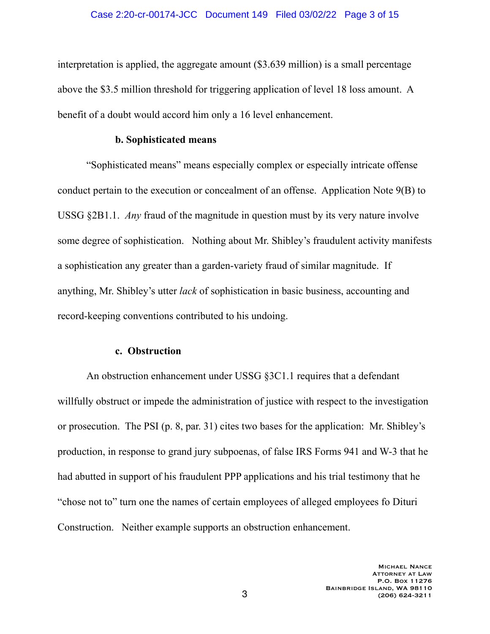interpretation is applied, the aggregate amount (\$3.639 million) is a small percentage above the \$3.5 million threshold for triggering application of level 18 loss amount. A benefit of a doubt would accord him only a 16 level enhancement.

### **b. Sophisticated means**

"Sophisticated means" means especially complex or especially intricate offense conduct pertain to the execution or concealment of an offense. Application Note 9(B) to USSG §2B1.1. *Any* fraud of the magnitude in question must by its very nature involve some degree of sophistication. Nothing about Mr. Shibley's fraudulent activity manifests a sophistication any greater than a garden-variety fraud of similar magnitude. If anything, Mr. Shibley's utter *lack* of sophistication in basic business, accounting and record-keeping conventions contributed to his undoing.

### **c. Obstruction**

An obstruction enhancement under USSG §3C1.1 requires that a defendant willfully obstruct or impede the administration of justice with respect to the investigation or prosecution. The PSI (p. 8, par. 31) cites two bases for the application: Mr. Shibley's production, in response to grand jury subpoenas, of false IRS Forms 941 and W-3 that he had abutted in support of his fraudulent PPP applications and his trial testimony that he "chose not to" turn one the names of certain employees of alleged employees fo Dituri Construction. Neither example supports an obstruction enhancement.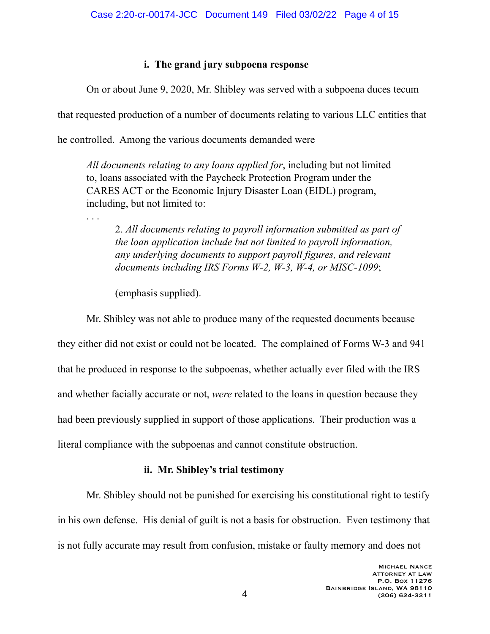# **i. The grand jury subpoena response**

On or about June 9, 2020, Mr. Shibley was served with a subpoena duces tecum

that requested production of a number of documents relating to various LLC entities that

he controlled. Among the various documents demanded were

*All documents relating to any loans applied for*, including but not limited to, loans associated with the Paycheck Protection Program under the CARES ACT or the Economic Injury Disaster Loan (EIDL) program, including, but not limited to:

2. *All documents relating to payroll information submitted as part of the loan application include but not limited to payroll information, any underlying documents to support payroll figures, and relevant documents including IRS Forms W-2, W-3, W-4, or MISC-1099*;

(emphasis supplied).

. . .

 Mr. Shibley was not able to produce many of the requested documents because they either did not exist or could not be located. The complained of Forms W-3 and 941 that he produced in response to the subpoenas, whether actually ever filed with the IRS and whether facially accurate or not, *were* related to the loans in question because they had been previously supplied in support of those applications. Their production was a literal compliance with the subpoenas and cannot constitute obstruction.

# **ii. Mr. Shibley's trial testimony**

 Mr. Shibley should not be punished for exercising his constitutional right to testify in his own defense. His denial of guilt is not a basis for obstruction. Even testimony that is not fully accurate may result from confusion, mistake or faulty memory and does not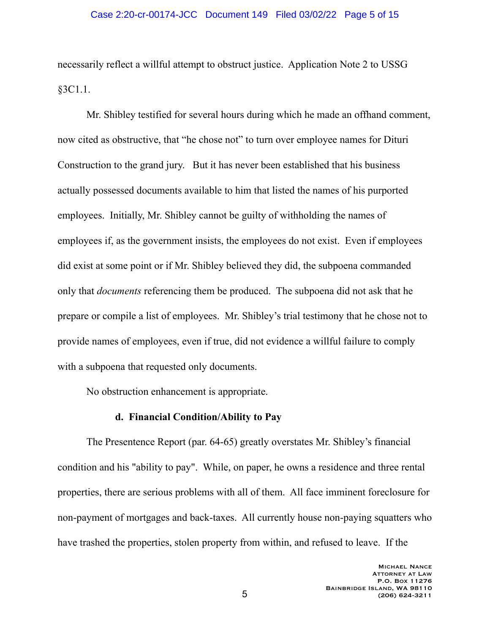necessarily reflect a willful attempt to obstruct justice. Application Note 2 to USSG §3C1.1.

 Mr. Shibley testified for several hours during which he made an offhand comment, now cited as obstructive, that "he chose not" to turn over employee names for Dituri Construction to the grand jury. But it has never been established that his business actually possessed documents available to him that listed the names of his purported employees. Initially, Mr. Shibley cannot be guilty of withholding the names of employees if, as the government insists, the employees do not exist. Even if employees did exist at some point or if Mr. Shibley believed they did, the subpoena commanded only that *documents* referencing them be produced. The subpoena did not ask that he prepare or compile a list of employees. Mr. Shibley's trial testimony that he chose not to provide names of employees, even if true, did not evidence a willful failure to comply with a subpoena that requested only documents.

No obstruction enhancement is appropriate.

## **d. Financial Condition/Ability to Pay**

 The Presentence Report (par. 64-65) greatly overstates Mr. Shibley's financial condition and his "ability to pay". While, on paper, he owns a residence and three rental properties, there are serious problems with all of them. All face imminent foreclosure for non-payment of mortgages and back-taxes. All currently house non-paying squatters who have trashed the properties, stolen property from within, and refused to leave. If the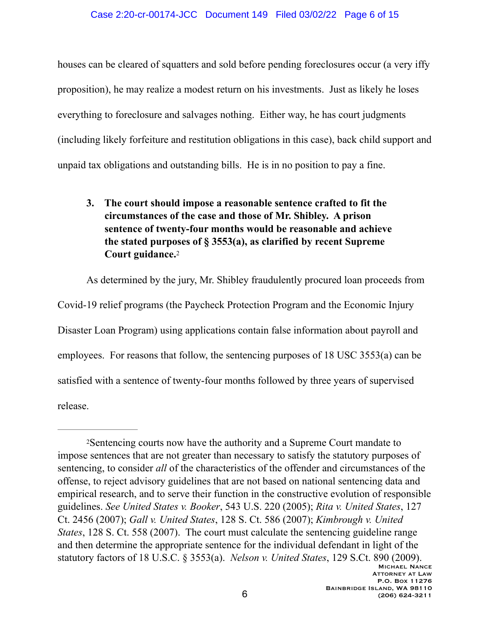### Case 2:20-cr-00174-JCC Document 149 Filed 03/02/22 Page 6 of 15

houses can be cleared of squatters and sold before pending foreclosures occur (a very iffy proposition), he may realize a modest return on his investments. Just as likely he loses everything to foreclosure and salvages nothing. Either way, he has court judgments (including likely forfeiture and restitution obligations in this case), back child support and unpaid tax obligations and outstanding bills. He is in no position to pay a fine.

# <span id="page-5-1"></span>**3. The court should impose a reasonable sentence crafted to fit the circumstances of the case and those of Mr. Shibley. A prison sentence of twenty-four months would be reasonable and achieve the stated purposes of § 3553(a), as clarified by recent Supreme Court guidance.**<sup>[2](#page-5-0)</sup>

 As determined by the jury, Mr. Shibley fraudulently procured loan proceeds from Covid-19 relief programs (the Paycheck Protection Program and the Economic Injury Disaster Loan Program) using applications contain false information about payroll and employees. For reasons that follow, the sentencing purposes of 18 USC 3553(a) can be satisfied with a sentence of twenty-four months followed by three years of supervised release.

<span id="page-5-0"></span>Sentencing courts now have the authority and a Supreme Court mandate to [2](#page-5-1) impose sentences that are not greater than necessary to satisfy the statutory purposes of sentencing, to consider *all* of the characteristics of the offender and circumstances of the offense, to reject advisory guidelines that are not based on national sentencing data and empirical research, and to serve their function in the constructive evolution of responsible guidelines. *See United States v. Booker*, 543 U.S. 220 (2005); *Rita v. United States*, 127 Ct. 2456 (2007); *Gall v. United States*, 128 S. Ct. 586 (2007); *Kimbrough v. United States*, 128 S. Ct. 558 (2007). The court must calculate the sentencing guideline range and then determine the appropriate sentence for the individual defendant in light of the statutory factors of 18 U.S.C. § 3553(a). *Nelson v. United States*, 129 S.Ct. 890 (2009).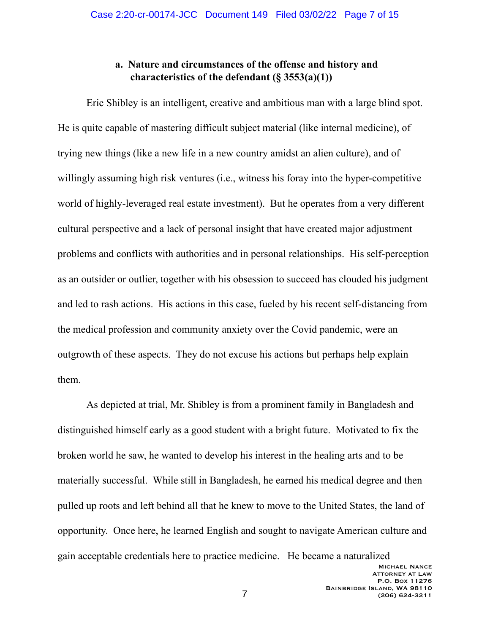## **a. Nature and circumstances of the offense and history and characteristics of the defendant (§ 3553(a)(1))**

Eric Shibley is an intelligent, creative and ambitious man with a large blind spot. He is quite capable of mastering difficult subject material (like internal medicine), of trying new things (like a new life in a new country amidst an alien culture), and of willingly assuming high risk ventures (i.e., witness his foray into the hyper-competitive world of highly-leveraged real estate investment). But he operates from a very different cultural perspective and a lack of personal insight that have created major adjustment problems and conflicts with authorities and in personal relationships. His self-perception as an outsider or outlier, together with his obsession to succeed has clouded his judgment and led to rash actions. His actions in this case, fueled by his recent self-distancing from the medical profession and community anxiety over the Covid pandemic, were an outgrowth of these aspects. They do not excuse his actions but perhaps help explain them.

 As depicted at trial, Mr. Shibley is from a prominent family in Bangladesh and distinguished himself early as a good student with a bright future. Motivated to fix the broken world he saw, he wanted to develop his interest in the healing arts and to be materially successful. While still in Bangladesh, he earned his medical degree and then pulled up roots and left behind all that he knew to move to the United States, the land of opportunity. Once here, he learned English and sought to navigate American culture and gain acceptable credentials here to practice medicine. He became a naturalized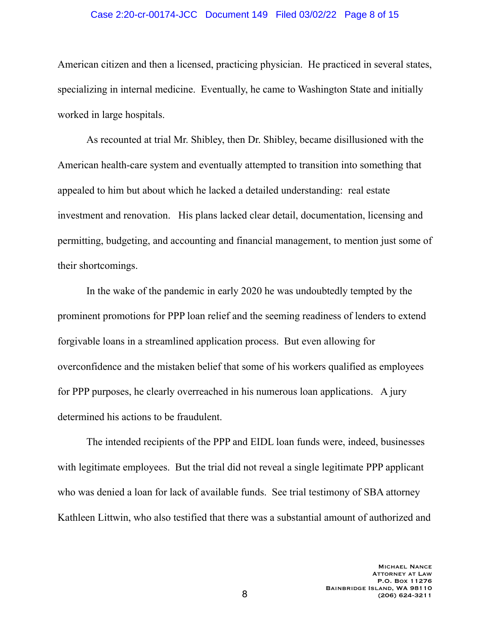#### Case 2:20-cr-00174-JCC Document 149 Filed 03/02/22 Page 8 of 15

American citizen and then a licensed, practicing physician. He practiced in several states, specializing in internal medicine. Eventually, he came to Washington State and initially worked in large hospitals.

 As recounted at trial Mr. Shibley, then Dr. Shibley, became disillusioned with the American health-care system and eventually attempted to transition into something that appealed to him but about which he lacked a detailed understanding: real estate investment and renovation. His plans lacked clear detail, documentation, licensing and permitting, budgeting, and accounting and financial management, to mention just some of their shortcomings.

 In the wake of the pandemic in early 2020 he was undoubtedly tempted by the prominent promotions for PPP loan relief and the seeming readiness of lenders to extend forgivable loans in a streamlined application process. But even allowing for overconfidence and the mistaken belief that some of his workers qualified as employees for PPP purposes, he clearly overreached in his numerous loan applications. A jury determined his actions to be fraudulent.

 The intended recipients of the PPP and EIDL loan funds were, indeed, businesses with legitimate employees. But the trial did not reveal a single legitimate PPP applicant who was denied a loan for lack of available funds. See trial testimony of SBA attorney Kathleen Littwin, who also testified that there was a substantial amount of authorized and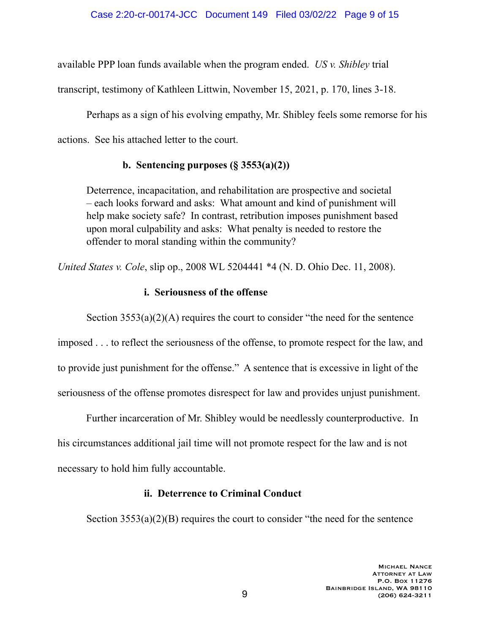available PPP loan funds available when the program ended. *US v. Shibley* trial

transcript, testimony of Kathleen Littwin, November 15, 2021, p. 170, lines 3-18.

 Perhaps as a sign of his evolving empathy, Mr. Shibley feels some remorse for his actions. See his attached letter to the court.

# **b. Sentencing purposes (§ 3553(a)(2))**

Deterrence, incapacitation, and rehabilitation are prospective and societal – each looks forward and asks: What amount and kind of punishment will help make society safe? In contrast, retribution imposes punishment based upon moral culpability and asks: What penalty is needed to restore the offender to moral standing within the community?

*United States v. Cole*, slip op., 2008 WL 5204441 \*4 (N. D. Ohio Dec. 11, 2008).

# **i. Seriousness of the offense**

Section  $3553(a)(2)(A)$  requires the court to consider "the need for the sentence

imposed . . . to reflect the seriousness of the offense, to promote respect for the law, and to provide just punishment for the offense." A sentence that is excessive in light of the seriousness of the offense promotes disrespect for law and provides unjust punishment.

 Further incarceration of Mr. Shibley would be needlessly counterproductive. In his circumstances additional jail time will not promote respect for the law and is not necessary to hold him fully accountable.

## **ii. Deterrence to Criminal Conduct**

Section  $3553(a)(2)(B)$  requires the court to consider "the need for the sentence"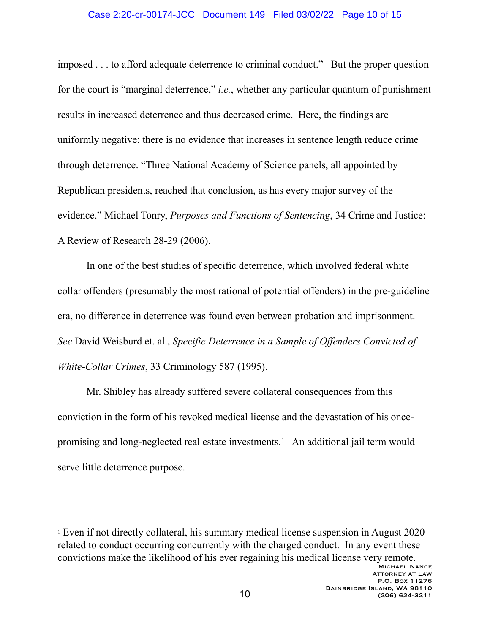#### Case 2:20-cr-00174-JCC Document 149 Filed 03/02/22 Page 10 of 15

imposed . . . to afford adequate deterrence to criminal conduct." But the proper question for the court is "marginal deterrence," *i.e.*, whether any particular quantum of punishment results in increased deterrence and thus decreased crime. Here, the findings are uniformly negative: there is no evidence that increases in sentence length reduce crime through deterrence. "Three National Academy of Science panels, all appointed by Republican presidents, reached that conclusion, as has every major survey of the evidence." Michael Tonry, *Purposes and Functions of Sentencing*, 34 Crime and Justice: A Review of Research 28-29 (2006).

 In one of the best studies of specific deterrence, which involved federal white collar offenders (presumably the most rational of potential offenders) in the pre-guideline era, no difference in deterrence was found even between probation and imprisonment. *See* David Weisburd et. al., *Specific Deterrence in a Sample of Offenders Convicted of White-Collar Crimes*, 33 Criminology 587 (1995).

<span id="page-9-1"></span> Mr. Shibley has already suffered severe collateral consequences from this conviction in the form of his revoked medical license and the devastation of his once-promising and long-neglected real estate investments.<sup>[1](#page-9-0)</sup> An additional jail term would serve little deterrence purpose.

<span id="page-9-0"></span><sup>&</sup>lt;sup>[1](#page-9-1)</sup> Even if not directly collateral, his summary medical license suspension in August 2020 related to conduct occurring concurrently with the charged conduct. In any event these convictions make the likelihood of his ever regaining his medical license very remote.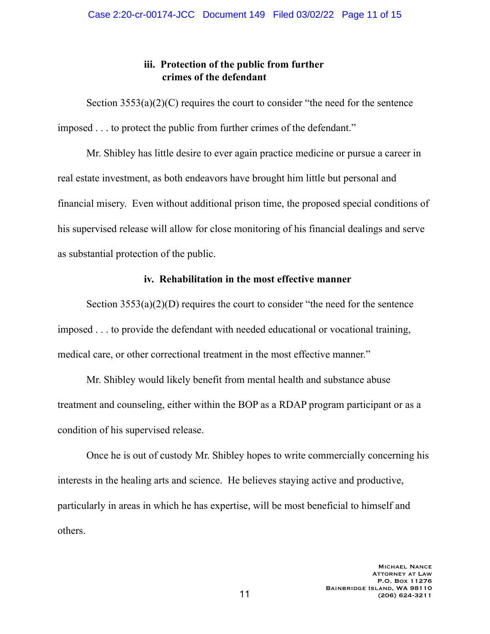## **iii. Protection of the public from further crimes of the defendant**

Section  $3553(a)(2)(C)$  requires the court to consider "the need for the sentence imposed . . . to protect the public from further crimes of the defendant."

 Mr. Shibley has little desire to ever again practice medicine or pursue a career in real estate investment, as both endeavors have brought him little but personal and financial misery. Even without additional prison time, the proposed special conditions of his supervised release will allow for close monitoring of his financial dealings and serve as substantial protection of the public.

## **iv. Rehabilitation in the most effective manner**

Section  $3553(a)(2)(D)$  requires the court to consider "the need for the sentence imposed . . . to provide the defendant with needed educational or vocational training, medical care, or other correctional treatment in the most effective manner."

 Mr. Shibley would likely benefit from mental health and substance abuse treatment and counseling, either within the BOP as a RDAP program participant or as a condition of his supervised release.

 Once he is out of custody Mr. Shibley hopes to write commercially concerning his interests in the healing arts and science. He believes staying active and productive, particularly in areas in which he has expertise, will be most beneficial to himself and others.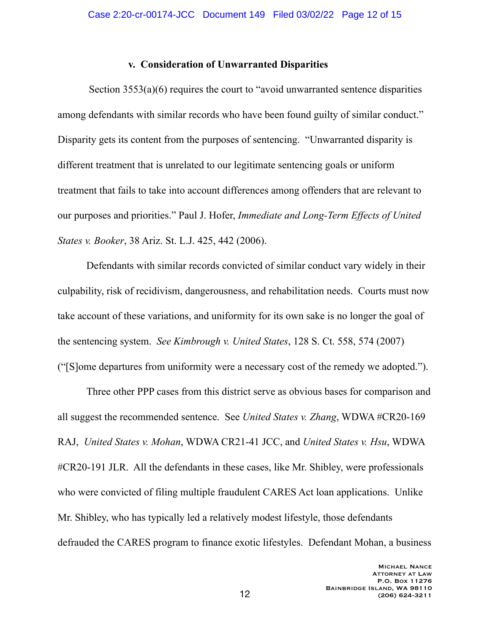### **v. Consideration of Unwarranted Disparities**

Section 3553(a)(6) requires the court to "avoid unwarranted sentence disparities among defendants with similar records who have been found guilty of similar conduct." Disparity gets its content from the purposes of sentencing. "Unwarranted disparity is different treatment that is unrelated to our legitimate sentencing goals or uniform treatment that fails to take into account differences among offenders that are relevant to our purposes and priorities." Paul J. Hofer, *Immediate and Long-Term Effects of United States v. Booker*, 38 Ariz. St. L.J. 425, 442 (2006).

 Defendants with similar records convicted of similar conduct vary widely in their culpability, risk of recidivism, dangerousness, and rehabilitation needs. Courts must now take account of these variations, and uniformity for its own sake is no longer the goal of the sentencing system. *See Kimbrough v. United States*, 128 S. Ct. 558, 574 (2007) ("[S]ome departures from uniformity were a necessary cost of the remedy we adopted.").

 Three other PPP cases from this district serve as obvious bases for comparison and all suggest the recommended sentence. See *United States v. Zhang*, WDWA #CR20-169 RAJ, *United States v. Mohan*, WDWA CR21-41 JCC, and *United States v. Hsu*, WDWA #CR20-191 JLR. All the defendants in these cases, like Mr. Shibley, were professionals who were convicted of filing multiple fraudulent CARES Act loan applications. Unlike Mr. Shibley, who has typically led a relatively modest lifestyle, those defendants defrauded the CARES program to finance exotic lifestyles. Defendant Mohan, a business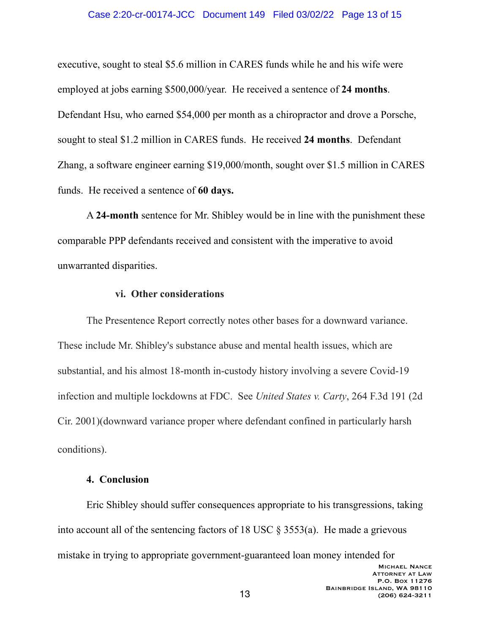#### Case 2:20-cr-00174-JCC Document 149 Filed 03/02/22 Page 13 of 15

executive, sought to steal \$5.6 million in CARES funds while he and his wife were employed at jobs earning \$500,000/year. He received a sentence of **24 months**. Defendant Hsu, who earned \$54,000 per month as a chiropractor and drove a Porsche, sought to steal \$1.2 million in CARES funds. He received **24 months**. Defendant Zhang, a software engineer earning \$19,000/month, sought over \$1.5 million in CARES funds. He received a sentence of **60 days.** 

A **24-month** sentence for Mr. Shibley would be in line with the punishment these comparable PPP defendants received and consistent with the imperative to avoid unwarranted disparities.

#### **vi. Other considerations**

 The Presentence Report correctly notes other bases for a downward variance. These include Mr. Shibley's substance abuse and mental health issues, which are substantial, and his almost 18-month in-custody history involving a severe Covid-19 infection and multiple lockdowns at FDC. See *United States v. Carty*, 264 F.3d 191 (2d Cir. 2001)(downward variance proper where defendant confined in particularly harsh conditions).

### **4. Conclusion**

 Eric Shibley should suffer consequences appropriate to his transgressions, taking into account all of the sentencing factors of 18 USC § 3553(a). He made a grievous mistake in trying to appropriate government-guaranteed loan money intended for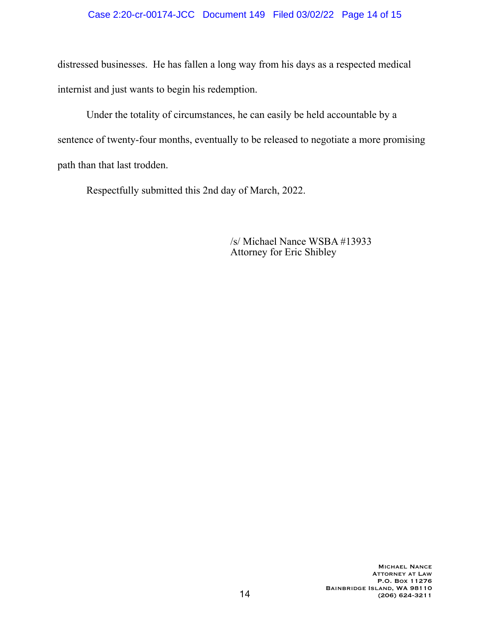## Case 2:20-cr-00174-JCC Document 149 Filed 03/02/22 Page 14 of 15

distressed businesses. He has fallen a long way from his days as a respected medical internist and just wants to begin his redemption.

 Under the totality of circumstances, he can easily be held accountable by a sentence of twenty-four months, eventually to be released to negotiate a more promising path than that last trodden.

Respectfully submitted this 2nd day of March, 2022.

 /s/ Michael Nance WSBA #13933 Attorney for Eric Shibley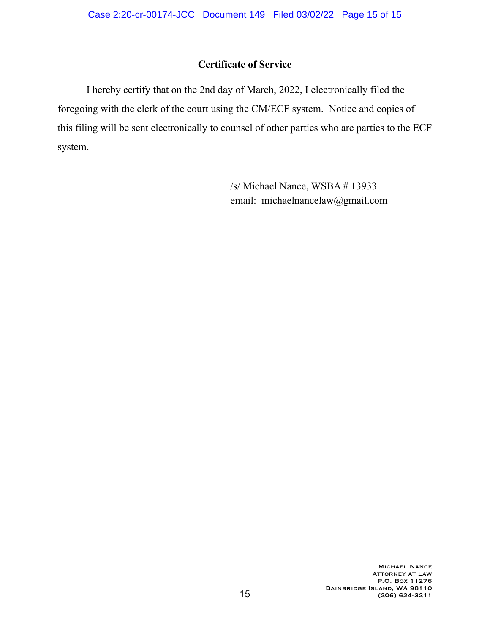## **Certificate of Service**

 I hereby certify that on the 2nd day of March, 2022, I electronically filed the foregoing with the clerk of the court using the CM/ECF system. Notice and copies of this filing will be sent electronically to counsel of other parties who are parties to the ECF system.

> /s/ Michael Nance, WSBA # 13933 email: michaelnancelaw@gmail.com